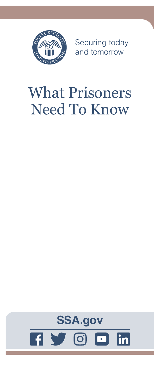

Securing today<br>and tomorrow

# What Prisoners Need To Know

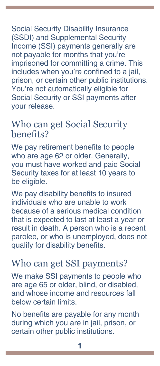Social Security Disability Insurance (SSDI) and Supplemental Security Income (SSI) payments generally are not payable for months that you're imprisoned for committing a crime. This includes when you're confined to a jail, prison, or certain other public institutions. You're not automatically eligible for Social Security or SSI payments after your release.

# Who can get Social Security benefits?

We pay retirement benefits to people who are age 62 or older. Generally, you must have worked and paid Social Security taxes for at least 10 years to be eligible.

We pay disability benefits to insured individuals who are unable to work because of a serious medical condition that is expected to last at least a year or result in death. A person who is a recent parolee, or who is unemployed, does not qualify for disability benefits.

# Who can get SSI payments?

We make SSI payments to people who are age 65 or older, blind, or disabled, and whose income and resources fall below certain limits.

No benefits are payable for any month during which you are in jail, prison, or certain other public institutions.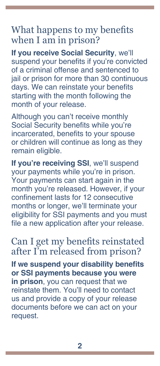#### What happens to my benefits when I am in prison?

**If you receive Social Security**, we'll suspend your benefits if you're convicted of a criminal offense and sentenced to jail or prison for more than 30 continuous days. We can reinstate your benefits starting with the month following the month of your release.

Although you can't receive monthly Social Security benefits while you're incarcerated, benefits to your spouse or children will continue as long as they remain eligible.

**If you're receiving SSI**, we'll suspend your payments while you're in prison. Your payments can start again in the month you're released. However, if your confinement lasts for 12 consecutive months or longer, we'll terminate your eligibility for SSI payments and you must file a new application after your release.

Can I get my benefits reinstated after I'm released from prison?

**If we suspend your disability benefits or SSI payments because you were in prison**, you can request that we reinstate them. You'll need to contact us and provide a copy of your release documents before we can act on your request.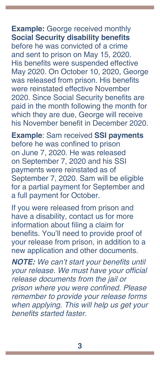**Example:** George received monthly **Social Security disability benefits** before he was convicted of a crime and sent to prison on May 15, 2020. His benefits were suspended effective May 2020. On October 10, 2020, George was released from prison. His benefits were reinstated effective November 2020. Since Social Security benefits are paid in the month following the month for which they are due, George will receive his November benefit in December 2020.

**Example**: Sam received **SSI payments** before he was confined to prison on June 7, 2020. He was released on September 7, 2020 and his SSI payments were reinstated as of September 7, 2020. Sam will be eligible for a partial payment for September and a full payment for October.

If you were released from prison and have a disability, contact us for more information about filing a claim for benefits. You'll need to provide proof of your release from prison, in addition to a new application and other documents.

*NOTE:* We can't start your benefits until your release. We must have your official release documents from the jail or prison where you were confined. Please .<br>remember to provide your release forms when applying. This will help us get your benefits started faster.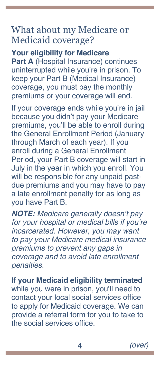### What about my Medicare or Medicaid coverage?

**Your eligibility for Medicare Part A** (Hospital Insurance) continues uninterrupted while you're in prison. To keep your Part B (Medical Insurance) coverage, you must pay the monthly premiums or your coverage will end.

If your coverage ends while you're in jail because you didn't pay your Medicare premiums, you'll be able to enroll during the General Enrollment Period (January through March of each year). If you enroll during a General Enrollment Period, your Part B coverage will start in July in the year in which you enroll. You will be responsible for any unpaid pastdue premiums and you may have to pay a late enrollment penalty for as long as you have Part B.

*NOTE:* Medicare generally doesn't pay for your hospital or medical bills if you're incarcerated. However, you may want to pay your Medicare medical insurance premiums to prevent any gaps in coverage and to avoid late enrollment penalties.

**If your Medicaid eligibility terminated**

while you were in prison, you'll need to contact your local social services office to apply for Medicaid coverage. We can provide a referral form for you to take to the social services office.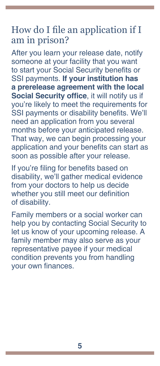#### How do I file an application if I am in prison?

After you learn your release date, notify someone at your facility that you want to start your Social Security benefits or SSI payments. **If your institution has a prerelease agreement with the local Social Security office**, it will notify us if you're likely to meet the requirements for SSI payments or disability benefits. We'll need an application from you several months before your anticipated release. That way, we can begin processing your application and your benefits can start as soon as possible after your release.

If you're filing for benefits based on disability, we'll gather medical evidence from your doctors to help us decide whether you still meet our definition of disability.

Family members or a social worker can help you by contacting Social Security to let us know of your upcoming release. A family member may also serve as your representative payee if your medical condition prevents you from handling your own finances.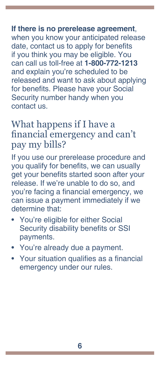#### **If there is no prerelease agreement**, when you know your anticipated release date, contact us to apply for benefits if you think you may be eligible. You can call us toll-free at **1-800-772-1213** and explain you're scheduled to be released and want to ask about applying for benefits. Please have your Social Security number handy when you contact us.

## What happens if I have a financial emergency and can't pay my bills?

If you use our prerelease procedure and you qualify for benefits, we can usually get your benefits started soon after your release. If we're unable to do so, and you're facing a financial emergency, we can issue a payment immediately if we determine that:

- You're eligible for either Social Security disability benefits or SSI payments.
- You're already due a payment.
- Your situation qualifies as a financial emergency under our rules.